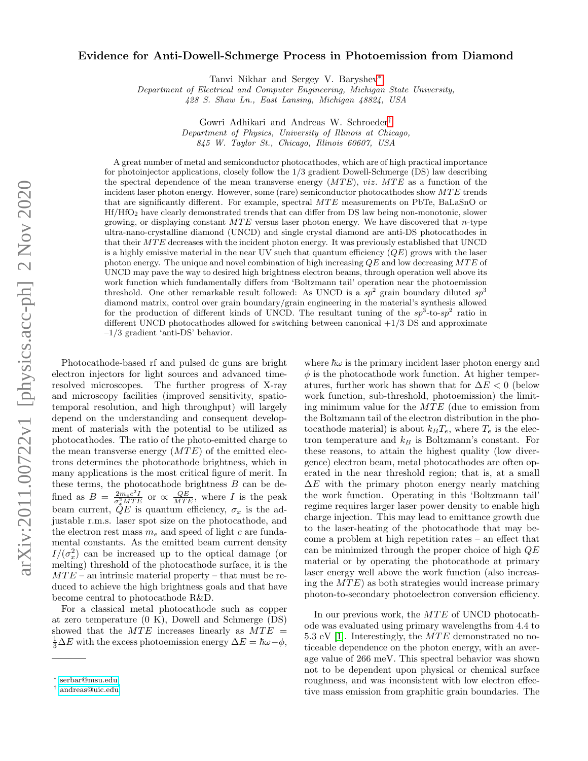## arXiv:2011.00722v1 [physics.acc-ph] 2 Nov 2020 arXiv:2011.00722v1 [physics.acc-ph] 2 Nov 2020

## Evidence for Anti-Dowell-Schmerge Process in Photoemission from Diamond

Tanvi Nikhar and Sergey V. Baryshev[∗](#page-0-0)

Department of Electrical and Computer Engineering, Michigan State University,

428 S. Shaw Ln., East Lansing, Michigan 48824, USA

Gowri Adhikari and Andreas W. Schroeder[†](#page-0-1) Department of Physics, University of Illinois at Chicago, 845 W. Taylor St., Chicago, Illinois 60607, USA

A great number of metal and semiconductor photocathodes, which are of high practical importance for photoinjector applications, closely follow the 1/3 gradient Dowell-Schmerge (DS) law describing the spectral dependence of the mean transverse energy  $(MTE)$ , viz.  $MTE$  as a function of the incident laser photon energy. However, some (rare) semiconductor photocathodes show  $MTE$  trends that are significantly different. For example, spectral  $MTE$  measurements on PbTe, BaLaSnO or Hf/HfO<sup>2</sup> have clearly demonstrated trends that can differ from DS law being non-monotonic, slower growing, or displaying constant  $MTE$  versus laser photon energy. We have discovered that n-type ultra-nano-crystalline diamond (UNCD) and single crystal diamond are anti-DS photocathodes in that their MTE decreases with the incident photon energy. It was previously established that UNCD is a highly emissive material in the near UV such that quantum efficiency  $(QE)$  grows with the laser photon energy. The unique and novel combination of high increasing  $QE$  and low decreasing  $MTE$  of UNCD may pave the way to desired high brightness electron beams, through operation well above its work function which fundamentally differs from 'Boltzmann tail' operation near the photoemission threshold. One other remarkable result followed: As UNCD is a  $sp^2$  grain boundary diluted  $sp^3$ diamond matrix, control over grain boundary/grain engineering in the material's synthesis allowed for the production of different kinds of UNCD. The resultant tuning of the  $sp^3$ -to-sp<sup>2</sup> ratio in different UNCD photocathodes allowed for switching between canonical +1/3 DS and approximate –1/3 gradient 'anti-DS' behavior.

Photocathode-based rf and pulsed dc guns are bright electron injectors for light sources and advanced timeresolved microscopes. The further progress of X-ray and microscopy facilities (improved sensitivity, spatiotemporal resolution, and high throughput) will largely depend on the understanding and consequent development of materials with the potential to be utilized as photocathodes. The ratio of the photo-emitted charge to the mean transverse energy  $(MTE)$  of the emitted electrons determines the photocathode brightness, which in many applications is the most critical figure of merit. In these terms, the photocathode brightness B can be defined as  $B = \frac{2m_ec^2I}{\sigma_x^2MTE}$  or  $\propto \frac{QE}{MTE}$ , where I is the peak beam current,  $QE$  is quantum efficiency,  $\sigma_x$  is the adjustable r.m.s. laser spot size on the photocathode, and the electron rest mass  $m_e$  and speed of light c are fundamental constants. As the emitted beam current density  $I/(\sigma_x^2)$  can be increased up to the optical damage (or melting) threshold of the photocathode surface, it is the  $MTE$  – an intrinsic material property – that must be reduced to achieve the high brightness goals and that have become central to photocathode R&D.

For a classical metal photocathode such as copper at zero temperature (0 K), Dowell and Schmerge (DS) showed that the  $MTE$  increases linearly as  $MTE =$  $\frac{1}{3}\Delta E$  with the excess photoemission energy  $\Delta E = \hbar \omega - \phi$ ,

where  $\hbar\omega$  is the primary incident laser photon energy and  $\phi$  is the photocathode work function. At higher temperatures, further work has shown that for  $\Delta E < 0$  (below work function, sub-threshold, photoemission) the limiting minimum value for the  $MTE$  (due to emission from the Boltzmann tail of the electron distribution in the photo cathode material) is about  $k_B T_e$ , where  $T_e$  is the electron temperature and  $k_B$  is Boltzmann's constant. For these reasons, to attain the highest quality (low divergence) electron beam, metal photocathodes are often operated in the near threshold region; that is, at a small  $\Delta E$  with the primary photon energy nearly matching the work function. Operating in this 'Boltzmann tail' regime requires larger laser power density to enable high charge injection. This may lead to emittance growth due to the laser-heating of the photocathode that may become a problem at high repetition rates – an effect that can be minimized through the proper choice of high QE material or by operating the photocathode at primary laser energy well above the work function (also increasing the  $MTE$ ) as both strategies would increase primary photon-to-secondary photoelectron conversion efficiency.

In our previous work, the  $MTE$  of UNCD photocathode was evaluated using primary wavelengths from 4.4 to 5.3 eV [\[1\]](#page-4-0). Interestingly, the  $MTE$  demonstrated no noticeable dependence on the photon energy, with an average value of 266 meV. This spectral behavior was shown not to be dependent upon physical or chemical surface roughness, and was inconsistent with low electron effective mass emission from graphitic grain boundaries. The

<span id="page-0-0"></span><sup>∗</sup> [serbar@msu.edu](mailto:serbar@msu.edu)

<span id="page-0-1"></span><sup>†</sup> [andreas@uic.edu](mailto:andreas@uic.edu)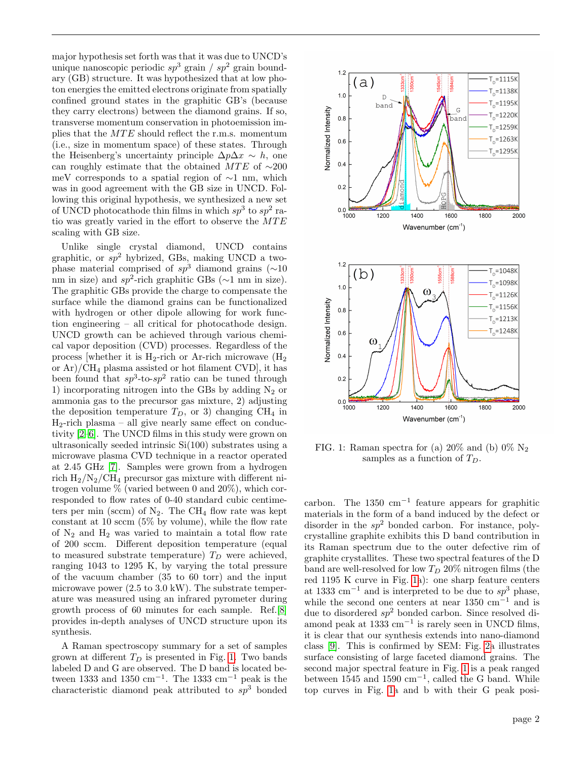major hypothesis set forth was that it was due to UNCD's unique nanoscopic periodic  $sp^3$  grain /  $sp^2$  grain boundary (GB) structure. It was hypothesized that at low photon energies the emitted electrons originate from spatially confined ground states in the graphitic GB's (because they carry electrons) between the diamond grains. If so, transverse momentum conservation in photoemission implies that the  $MTE$  should reflect the r.m.s. momentum (i.e., size in momentum space) of these states. Through the Heisenberg's uncertainty principle  $\Delta p \Delta x \sim h$ , one can roughly estimate that the obtained MTE of  $~\sim$ 200 meV corresponds to a spatial region of ∼1 nm, which was in good agreement with the GB size in UNCD. Following this original hypothesis, we synthesized a new set of UNCD photocathode thin films in which  $sp^3$  to  $sp^2$  ratio was greatly varied in the effort to observe the  $MTE$ scaling with GB size.

Unlike single crystal diamond, UNCD contains graphitic, or  $sp^2$  hybrized, GBs, making UNCD a twophase material comprised of  $sp^3$  diamond grains (∼10 nm in size) and  $sp^2$ -rich graphitic GBs ( $\sim$ 1 nm in size). The graphitic GBs provide the charge to compensate the surface while the diamond grains can be functionalized with hydrogen or other dipole allowing for work function engineering – all critical for photocathode design. UNCD growth can be achieved through various chemical vapor deposition (CVD) processes. Regardless of the process [whether it is  $H_2$ -rich or Ar-rich microwave  $(H_2)$ or  $Ar$ / $CH_4$  plasma assisted or hot filament CVD, it has been found that  $sp^3$ -to- $sp^2$  ratio can be tuned through 1) incorporating nitrogen into the GBs by adding  $N_2$  or ammonia gas to the precursor gas mixture, 2) adjusting the deposition temperature  $T_D$ , or 3) changing CH<sub>4</sub> in  $H_2$ -rich plasma – all give nearly same effect on conductivity [\[2–](#page-4-1)[6\]](#page-4-2). The UNCD films in this study were grown on ultrasonically seeded intrinsic Si(100) substrates using a microwave plasma CVD technique in a reactor operated at 2.45 GHz [\[7\]](#page-4-3). Samples were grown from a hydrogen rich  $H_2/N_2/CH_4$  precursor gas mixture with different nitrogen volume % (varied between 0 and 20%), which corresponded to flow rates of 0-40 standard cubic centimeters per min (sccm) of  $N_2$ . The CH<sub>4</sub> flow rate was kept constant at 10 sccm (5% by volume), while the flow rate of  $N_2$  and  $H_2$  was varied to maintain a total flow rate of 200 sccm. Different deposition temperature (equal to measured substrate temperature)  $T_D$  were achieved, ranging 1043 to 1295 K, by varying the total pressure of the vacuum chamber (35 to 60 torr) and the input microwave power (2.5 to 3.0 kW). The substrate temperature was measured using an infrared pyrometer during growth process of 60 minutes for each sample. Ref.[\[8\]](#page-4-4) provides in-depth analyses of UNCD structure upon its synthesis.

A Raman spectroscopy summary for a set of samples grown at different  $T_D$  is presented in Fig. [1.](#page-1-0) Two bands labeled D and G are observed. The D band is located between 1333 and 1350 cm<sup>-1</sup>. The 1333 cm<sup>-1</sup> peak is the characteristic diamond peak attributed to  $sp^3$  bonded

<span id="page-1-0"></span>

FIG. 1: Raman spectra for (a)  $20\%$  and (b)  $0\%$  N<sub>2</sub> samples as a function of  $T_D$ .

carbon. The  $1350 \text{ cm}^{-1}$  feature appears for graphitic materials in the form of a band induced by the defect or disorder in the  $sp^2$  bonded carbon. For instance, polycrystalline graphite exhibits this D band contribution in its Raman spectrum due to the outer defective rim of graphite crystallites. These two spectral features of the D band are well-resolved for low  $T_D$  20% nitrogen films (the red 1195 K curve in Fig. [1a](#page-1-0)): one sharp feature centers at 1333 cm<sup>-1</sup> and is interpreted to be due to  $sp^3$  phase, while the second one centers at near 1350 cm<sup>−</sup><sup>1</sup> and is due to disordered  $sp^2$  bonded carbon. Since resolved diamond peak at  $1333 \text{ cm}^{-1}$  is rarely seen in UNCD films, it is clear that our synthesis extends into nano-diamond class [\[9\]](#page-4-5). This is confirmed by SEM: Fig. [2a](#page-2-0) illustrates surface consisting of large faceted diamond grains. The second major spectral feature in Fig. [1](#page-1-0) is a peak ranged between 1545 and 1590  $\text{cm}^{-1}$ , called the G band. While top curves in Fig. [1a](#page-1-0) and b with their G peak posi-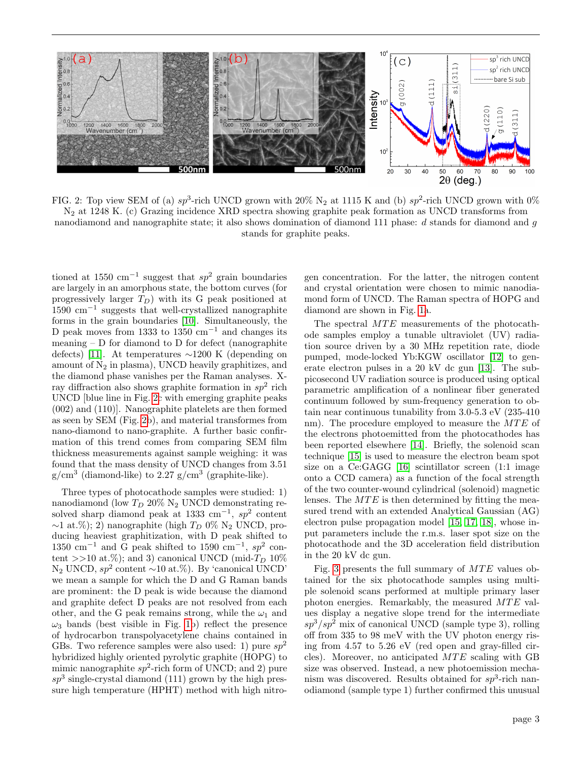<span id="page-2-0"></span>

FIG. 2: Top view SEM of (a)  $sp^3$ -rich UNCD grown with 20% N<sub>2</sub> at 1115 K and (b)  $sp^2$ -rich UNCD grown with 0% N<sup>2</sup> at 1248 K. (c) Grazing incidence XRD spectra showing graphite peak formation as UNCD transforms from nanodiamond and nanographite state; it also shows domination of diamond 111 phase: d stands for diamond and g stands for graphite peaks.

tioned at 1550 cm<sup>-1</sup> suggest that  $sp^2$  grain boundaries are largely in an amorphous state, the bottom curves (for progressively larger  $T_D$ ) with its G peak positioned at 1590 cm<sup>−</sup><sup>1</sup> suggests that well-crystallized nanographite forms in the grain boundaries [\[10\]](#page-4-6). Simultaneously, the D peak moves from 1333 to 1350 cm<sup>-1</sup> and changes its meaning  $-$  D for diamond to D for defect (nanographite defects) [\[11\]](#page-4-7). At temperatures ∼1200 K (depending on amount of  $N_2$  in plasma), UNCD heavily graphitizes, and the diamond phase vanishes per the Raman analyses. Xray diffraction also shows graphite formation in  $sp^2$  rich UNCD [blue line in Fig. [2c](#page-2-0) with emerging graphite peaks (002) and (110)]. Nanographite platelets are then formed as seen by SEM (Fig. [2b](#page-2-0)), and material transformes from nano-diamond to nano-graphite. A further basic confirmation of this trend comes from comparing SEM film thickness measurements against sample weighing: it was found that the mass density of UNCD changes from 3.51  $g/cm<sup>3</sup>$  (diamond-like) to 2.27  $g/cm<sup>3</sup>$  (graphite-like).

Three types of photocathode samples were studied: 1) nanodiamond (low  $T_D$  20% N<sub>2</sub> UNCD demonstrating resolved sharp diamond peak at 1333 cm<sup>-1</sup>,  $sp^2$  content  $\sim$ 1 at.%); 2) nanographite (high  $T_D$  0% N<sub>2</sub> UNCD, producing heaviest graphitization, with D peak shifted to 1350 cm<sup>-1</sup> and G peak shifted to 1590 cm<sup>-1</sup>,  $sp^2$  content >>10 at.%); and 3) canonical UNCD (mid- $T_D$  10%  $N_2$  UNCD,  $sp^2$  content ~10 at.%). By 'canonical UNCD' we mean a sample for which the D and G Raman bands are prominent: the D peak is wide because the diamond and graphite defect D peaks are not resolved from each other, and the G peak remains strong, while the  $\omega_1$  and  $\omega_3$  bands (best visible in Fig. [1b](#page-1-0)) reflect the presence of hydrocarbon transpolyacetylene chains contained in GBs. Two reference samples were also used: 1) pure  $sp^2$ hybridized highly oriented pyrolytic graphite (HOPG) to mimic nanographite  $sp^2$ -rich form of UNCD; and 2) pure  $sp<sup>3</sup>$  single-crystal diamond (111) grown by the high pressure high temperature (HPHT) method with high nitro-

gen concentration. For the latter, the nitrogen content and crystal orientation were chosen to mimic nanodiamond form of UNCD. The Raman spectra of HOPG and diamond are shown in Fig. [1a](#page-1-0).

The spectral  $MTE$  measurements of the photocathode samples employ a tunable ultraviolet (UV) radiation source driven by a 30 MHz repetition rate, diode pumped, mode-locked Yb:KGW oscillator [\[12\]](#page-4-8) to generate electron pulses in a 20 kV dc gun [\[13\]](#page-4-9). The subpicosecond UV radiation source is produced using optical parametric amplification of a nonlinear fiber generated continuum followed by sum-frequency generation to obtain near continuous tunability from 3.0-5.3 eV (235-410 nm). The procedure employed to measure the  $MTE$  of the electrons photoemitted from the photocathodes has been reported elsewhere [\[14\]](#page-4-10). Briefly, the solenoid scan technique [\[15\]](#page-4-11) is used to measure the electron beam spot size on a Ce:GAGG [\[16\]](#page-4-12) scintillator screen (1:1 image onto a CCD camera) as a function of the focal strength of the two counter-wound cylindrical (solenoid) magnetic lenses. The  $MTE$  is then determined by fitting the measured trend with an extended Analytical Gaussian (AG) electron pulse propagation model [\[15,](#page-4-11) [17,](#page-4-13) [18\]](#page-4-14), whose input parameters include the r.m.s. laser spot size on the photocathode and the 3D acceleration field distribution in the 20 kV dc gun.

Fig. [3](#page-3-0) presents the full summary of  $MTE$  values obtained for the six photocathode samples using multiple solenoid scans performed at multiple primary laser photon energies. Remarkably, the measured  $MTE$  values display a negative slope trend for the intermediate  $s p^3/s p^2$  mix of canonical UNCD (sample type 3), rolling off from 335 to 98 meV with the UV photon energy rising from 4.57 to 5.26 eV (red open and gray-filled circles). Moreover, no anticipated  $MTE$  scaling with GB size was observed. Instead, a new photoemission mechanism was discovered. Results obtained for  $sp^3$ -rich nanodiamond (sample type 1) further confirmed this unusual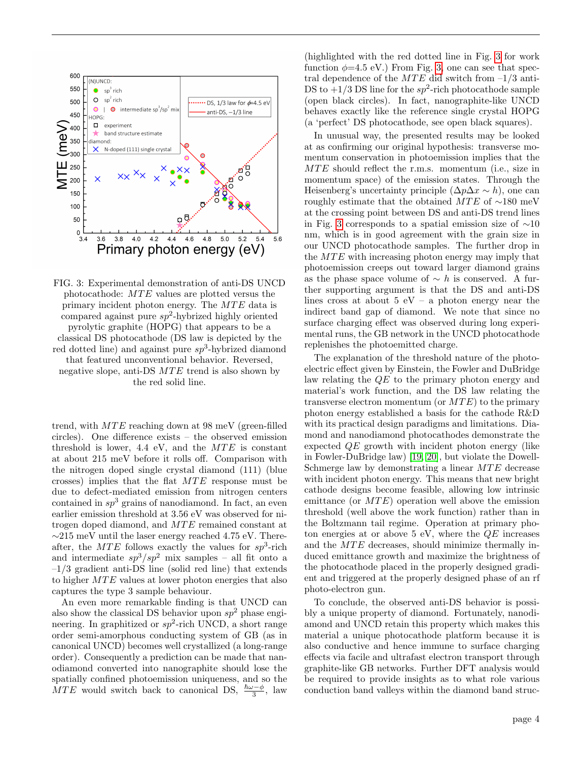<span id="page-3-0"></span>

FIG. 3: Experimental demonstration of anti-DS UNCD photocathode:  $MTE$  values are plotted versus the primary incident photon energy. The  $MTE$  data is compared against pure  $sp^2$ -hybrized highly oriented pyrolytic graphite (HOPG) that appears to be a classical DS photocathode (DS law is depicted by the red dotted line) and against pure  $sp^3$ -hybrized diamond that featured unconventional behavior. Reversed, negative slope, anti-DS  $MTE$  trend is also shown by the red solid line.

trend, with  $MTE$  reaching down at 98 meV (green-filled circles). One difference exists – the observed emission threshold is lower, 4.4 eV, and the  $MTE$  is constant at about 215 meV before it rolls off. Comparison with the nitrogen doped single crystal diamond (111) (blue crosses) implies that the flat  $MTE$  response must be due to defect-mediated emission from nitrogen centers contained in  $sp^3$  grains of nanodiamond. In fact, an even earlier emission threshold at 3.56 eV was observed for nitrogen doped diamond, and MTE remained constant at ∼215 meV until the laser energy reached 4.75 eV. Thereafter, the  $MTE$  follows exactly the values for  $sp^3$ -rich and intermediate  $sp^3/sp^2$  mix samples – all fit onto a  $-1/3$  gradient anti-DS line (solid red line) that extends to higher  $MTE$  values at lower photon energies that also captures the type 3 sample behaviour.

An even more remarkable finding is that UNCD can also show the classical DS behavior upon  $sp^2$  phase engineering. In graphitized or  $sp^2$ -rich UNCD, a short range order semi-amorphous conducting system of GB (as in canonical UNCD) becomes well crystallized (a long-range order). Consequently a prediction can be made that nanodiamond converted into nanographite should lose the spatially confined photoemission uniqueness, and so the MTE would switch back to canonical DS,  $\frac{\hbar\omega-\phi}{3}$ , law

(highlighted with the red dotted line in Fig. [3](#page-3-0) for work function  $\phi=4.5$  eV.) From Fig. [3,](#page-3-0) one can see that spectral dependence of the  $MTE$  did switch from  $-1/3$  anti-DS to  $+1/3$  DS line for the  $sp^2$ -rich photocathode sample (open black circles). In fact, nanographite-like UNCD behaves exactly like the reference single crystal HOPG (a 'perfect' DS photocathode, see open black squares).

In unusual way, the presented results may be looked at as confirming our original hypothesis: transverse momentum conservation in photoemission implies that the  $MTE$  should reflect the r.m.s. momentum (i.e., size in momentum space) of the emission states. Through the Heisenberg's uncertainty principle  $(\Delta p \Delta x \sim h)$ , one can roughly estimate that the obtained MTE of  $\sim$ 180 meV at the crossing point between DS and anti-DS trend lines in Fig. [3](#page-3-0) corresponds to a spatial emission size of ∼10 nm, which is in good agreement with the grain size in our UNCD photocathode samples. The further drop in the  $MTE$  with increasing photon energy may imply that photoemission creeps out toward larger diamond grains as the phase space volume of  $\sim h$  is conserved. A further supporting argument is that the DS and anti-DS lines cross at about  $5 eV - a$  photon energy near the indirect band gap of diamond. We note that since no surface charging effect was observed during long experimental runs, the GB network in the UNCD photocathode replenishes the photoemitted charge.

The explanation of the threshold nature of the photoelectric effect given by Einstein, the Fowler and DuBridge law relating the QE to the primary photon energy and material's work function, and the DS law relating the transverse electron momentum (or  $MTE$ ) to the primary photon energy established a basis for the cathode R&D with its practical design paradigms and limitations. Diamond and nanodiamond photocathodes demonstrate the expected QE growth with incident photon energy (like in Fowler-DuBridge law) [\[19,](#page-4-15) [20\]](#page-4-16), but violate the Dowell-Schmerge law by demonstrating a linear MTE decrease with incident photon energy. This means that new bright cathode designs become feasible, allowing low intrinsic emittance (or  $MTE$ ) operation well above the emission threshold (well above the work function) rather than in the Boltzmann tail regime. Operation at primary photon energies at or above  $5 \text{ eV}$ , where the  $QE$  increases and the  $MTE$  decreases, should minimize thermally induced emittance growth and maximize the brightness of the photocathode placed in the properly designed gradient and triggered at the properly designed phase of an rf photo-electron gun.

To conclude, the observed anti-DS behavior is possibly a unique property of diamond. Fortunately, nanodiamond and UNCD retain this property which makes this material a unique photocathode platform because it is also conductive and hence immune to surface charging effects via facile and ultrafast electron transport through graphite-like GB networks. Further DFT analysis would be required to provide insights as to what role various conduction band valleys within the diamond band struc